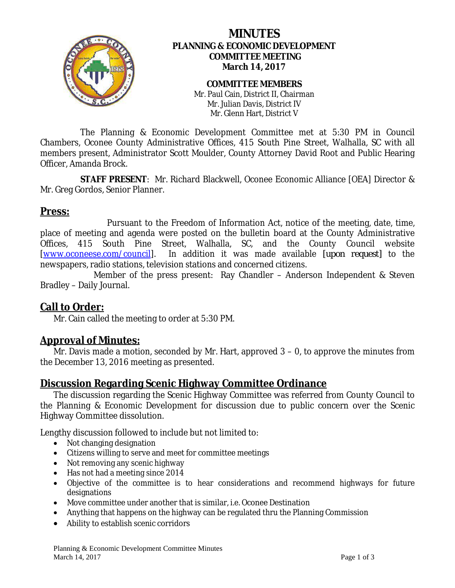

# **MINUTES PLANNING & ECONOMIC DEVELOPMENT COMMITTEE MEETING March 14, 2017**

**COMMITTEE MEMBERS** Mr. Paul Cain, District II, Chairman Mr. Julian Davis, District IV Mr. Glenn Hart, District V

The Planning & Economic Development Committee met at 5:30 PM in Council Chambers, Oconee County Administrative Offices, 415 South Pine Street, Walhalla, SC with all members present, Administrator Scott Moulder, County Attorney David Root and Public Hearing Officer, Amanda Brock.

**STAFF PRESENT**: Mr. Richard Blackwell, Oconee Economic Alliance [OEA] Director & Mr. Greg Gordos, Senior Planner.

# **Press:**

Pursuant to the Freedom of Information Act, notice of the meeting, date, time, place of meeting and agenda were posted on the bulletin board at the County Administrative Offices, 415 South Pine Street, Walhalla, SC, and the County Council website [\[www.oconeese.com/council\]](http://www.oconeese.com/council). In addition it was made available *[upon request]* to the newspapers, radio stations, television stations and concerned citizens.

Member of the press present: Ray Chandler – Anderson Independent & Steven Bradley – Daily Journal.

### **Call to Order:**

Mr. Cain called the meeting to order at 5:30 PM.

### **Approval of Minutes:**

Mr. Davis made a motion, seconded by Mr. Hart, approved 3 – 0, to approve the minutes from the December 13, 2016 meeting as presented.

### **Discussion Regarding Scenic Highway Committee Ordinance**

The discussion regarding the Scenic Highway Committee was referred from County Council to the Planning & Economic Development for discussion due to public concern over the Scenic Highway Committee dissolution.

Lengthy discussion followed to include but not limited to:

- Not changing designation
- Citizens willing to serve and meet for committee meetings
- Not removing any scenic highway
- Has not had a meeting since 2014
- Objective of the committee is to hear considerations and recommend highways for future designations
- Move committee under another that is similar, i.e. Oconee Destination
- Anything that happens on the highway can be regulated thru the Planning Commission
- Ability to establish scenic corridors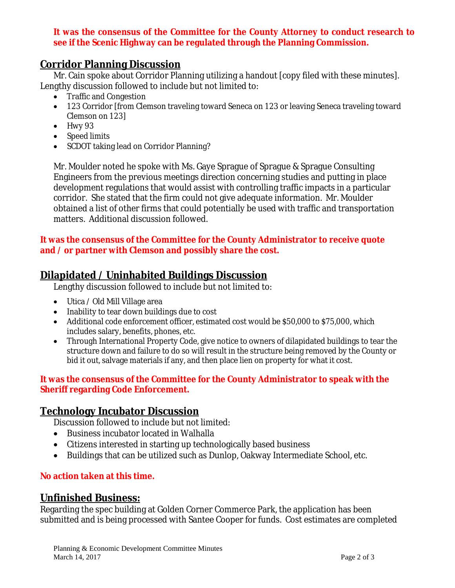### **It was the consensus of the Committee for the County Attorney to conduct research to see if the Scenic Highway can be regulated through the Planning Commission.**

### **Corridor Planning Discussion**

Mr. Cain spoke about Corridor Planning utilizing a handout [copy filed with these minutes]. Lengthy discussion followed to include but not limited to:

- Traffic and Congestion
- 123 Corridor [from Clemson traveling toward Seneca on 123 or leaving Seneca traveling toward Clemson on 123]
- Hwy 93
- Speed limits
- SCDOT taking lead on Corridor Planning?

Mr. Moulder noted he spoke with Ms. Gaye Sprague of Sprague & Sprague Consulting Engineers from the previous meetings direction concerning studies and putting in place development regulations that would assist with controlling traffic impacts in a particular corridor. She stated that the firm could not give adequate information. Mr. Moulder obtained a list of other firms that could potentially be used with traffic and transportation matters. Additional discussion followed.

#### **It was the consensus of the Committee for the County Administrator to receive quote and / or partner with Clemson and possibly share the cost.**

# **Dilapidated / Uninhabited Buildings Discussion**

Lengthy discussion followed to include but not limited to:

- Utica / Old Mill Village area
- Inability to tear down buildings due to cost
- Additional code enforcement officer, estimated cost would be \$50,000 to \$75,000, which includes salary, benefits, phones, etc.
- Through International Property Code, give notice to owners of dilapidated buildings to tear the structure down and failure to do so will result in the structure being removed by the County or bid it out, salvage materials if any, and then place lien on property for what it cost.

#### **It was the consensus of the Committee for the County Administrator to speak with the Sheriff regarding Code Enforcement.**

### **Technology Incubator Discussion**

Discussion followed to include but not limited:

- Business incubator located in Walhalla
- Citizens interested in starting up technologically based business
- Buildings that can be utilized such as Dunlop, Oakway Intermediate School, etc.

#### **No action taken at this time.**

### **Unfinished Business:**

Regarding the spec building at Golden Corner Commerce Park, the application has been submitted and is being processed with Santee Cooper for funds. Cost estimates are completed